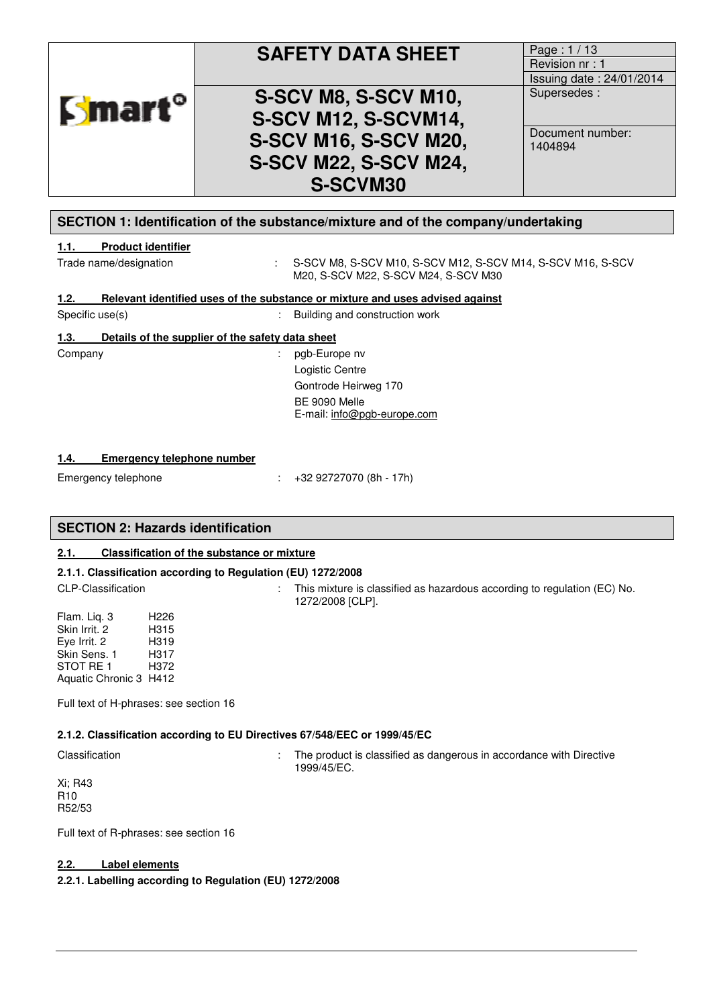|                | <b>SAFETY DATA SHEET</b>     | Page: 1/13                  |
|----------------|------------------------------|-----------------------------|
|                |                              | Revision nr: 1              |
|                |                              | Issuing date: 24/01/2014    |
| <b>Smart</b> ° | S-SCV M8, S-SCV M10,         | Supersedes:                 |
|                | S-SCV M12, S-SCVM14,         |                             |
|                | <b>S-SCV M16, S-SCV M20,</b> | Document number:<br>1404894 |
|                | <b>S-SCV M22, S-SCV M24,</b> |                             |
|                | <b>S-SCVM30</b>              |                             |

### **SECTION 1: Identification of the substance/mixture and of the company/undertaking**

#### **1.1. Product identifier**

Trade name/designation : S-SCV M8, S-SCV M10, S-SCV M12, S-SCV M14, S-SCV M16, S-SCV M20, S-SCV M22, S-SCV M24, S-SCV M30 **1.2. Relevant identified uses of the substance or mixture and uses advised against**  Specific use(s)  $\qquad \qquad$ : Building and construction work

# **1.3. Details of the supplier of the safety data sheet**

Company : pgb-Europe nv

 Logistic Centre Gontrode Heirweg 170 BE 9090 Melle E-mail: info@pgb-europe.com

#### **1.4. Emergency telephone number**

Emergency telephone : +32 92727070 (8h - 17h)

## **SECTION 2: Hazards identification**

## **2.1. Classification of the substance or mixture**

#### **2.1.1. Classification according to Regulation (EU) 1272/2008**

CLP-Classification : This mixture is classified as hazardous according to regulation (EC) No. 1272/2008 [CLP].

Flam. Liq. 3 H226 Skin Irrit. 2 H315 Eye Irrit. 2 Skin Sens. 1 H317 STOT RE 1 H372 Aquatic Chronic 3 H412

Full text of H-phrases: see section 16

## **2.1.2. Classification according to EU Directives 67/548/EEC or 1999/45/EC**

Classification : The product is classified as dangerous in accordance with Directive 1999/45/EC.

Xi; R43 R10 R52/53

Full text of R-phrases: see section 16

# **2.2. Label elements**

**2.2.1. Labelling according to Regulation (EU) 1272/2008**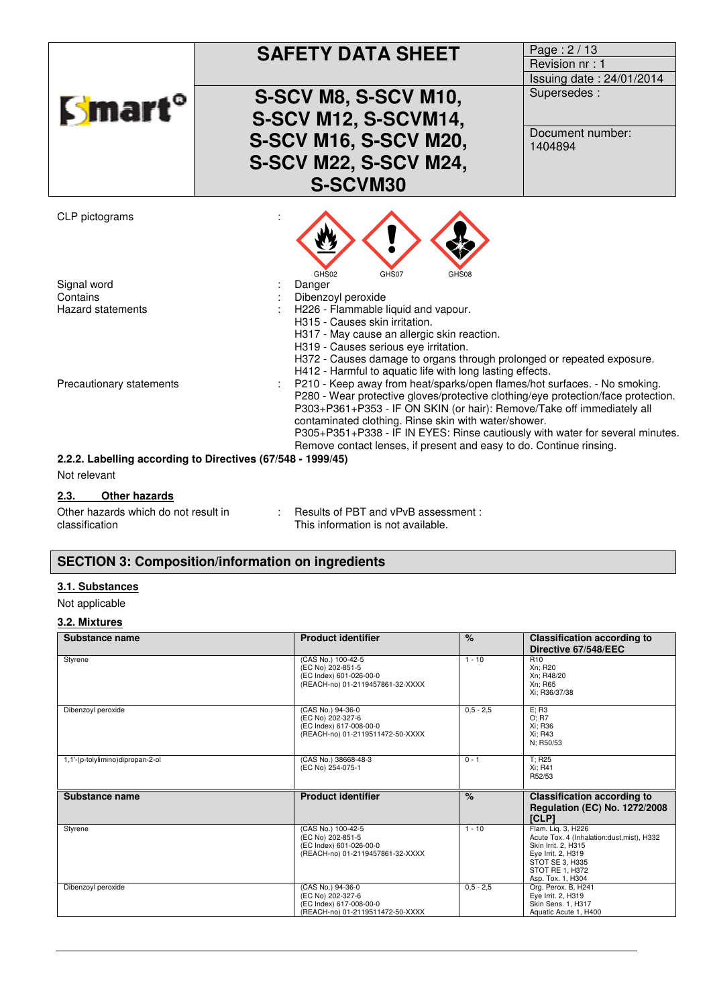| <b>Smart</b> °           | <b>SAFETY DATA SHEET</b><br>S-SCV M8, S-SCV M10,<br>S-SCV M12, S-SCVM14,<br><b>S-SCV M16, S-SCV M20,</b><br><b>S-SCV M22, S-SCV M24,</b><br><b>S-SCVM30</b>                                                                                                                                                                                                                                                                                              | Page: 2/13<br>Revision nr: 1<br>Issuing date: 24/01/2014<br>Supersedes:<br>Document number:<br>1404894 |
|--------------------------|----------------------------------------------------------------------------------------------------------------------------------------------------------------------------------------------------------------------------------------------------------------------------------------------------------------------------------------------------------------------------------------------------------------------------------------------------------|--------------------------------------------------------------------------------------------------------|
| CLP pictograms           | GHS02<br>GHS07                                                                                                                                                                                                                                                                                                                                                                                                                                           |                                                                                                        |
| Signal word              | GHS08<br>Danger                                                                                                                                                                                                                                                                                                                                                                                                                                          |                                                                                                        |
| Contains                 | Dibenzoyl peroxide                                                                                                                                                                                                                                                                                                                                                                                                                                       |                                                                                                        |
| <b>Hazard statements</b> | H226 - Flammable liquid and vapour.<br>H315 - Causes skin irritation.<br>H317 - May cause an allergic skin reaction.<br>H319 - Causes serious eye irritation.<br>H372 - Causes damage to organs through prolonged or repeated exposure.<br>H412 - Harmful to aquatic life with long lasting effects.                                                                                                                                                     |                                                                                                        |
| Precautionary statements | P210 - Keep away from heat/sparks/open flames/hot surfaces. - No smoking.<br>P280 - Wear protective gloves/protective clothing/eye protection/face protection.<br>P303+P361+P353 - IF ON SKIN (or hair): Remove/Take off immediately all<br>contaminated clothing. Rinse skin with water/shower.<br>P305+P351+P338 - IF IN EYES: Rinse cautiously with water for several minutes.<br>Remove contact lenses, if present and easy to do. Continue rinsing. |                                                                                                        |
| Not relevant             | 2.2.2. Labelling according to Directives (67/548 - 1999/45)                                                                                                                                                                                                                                                                                                                                                                                              |                                                                                                        |

## **2.3. Other hazards**

Other hazards which do not result in classification

: Results of PBT and vPvB assessment : This information is not available.

# **SECTION 3: Composition/information on ingredients**

# **3.1. Substances**

Not applicable

# **3.2. Mixtures**

| Substance name                   | <b>Product identifier</b>                                                                              | $\%$        | <b>Classification according to</b><br>Directive 67/548/EEC                                                                                                               |  |  |
|----------------------------------|--------------------------------------------------------------------------------------------------------|-------------|--------------------------------------------------------------------------------------------------------------------------------------------------------------------------|--|--|
| Styrene                          | (CAS No.) 100-42-5<br>(EC No) 202-851-5<br>(EC Index) 601-026-00-0<br>(REACH-no) 01-2119457861-32-XXXX | $1 - 10$    | R <sub>10</sub><br>Xn; R20<br>Xn: R48/20<br>Xn; R65<br>Xi: R36/37/38                                                                                                     |  |  |
| Dibenzoyl peroxide               | (CAS No.) 94-36-0<br>(EC No) 202-327-6<br>(EC Index) 617-008-00-0<br>(REACH-no) 01-2119511472-50-XXXX  | $0.5 - 2.5$ | E: R3<br>O: R7<br>Xi: R36<br>Xi: R43<br>N: R50/53                                                                                                                        |  |  |
| 1,1'-(p-tolylimino)dipropan-2-ol | (CAS No.) 38668-48-3<br>(EC No) 254-075-1                                                              | $0 - 1$     | T: R25<br>Xi: R41<br>R52/53                                                                                                                                              |  |  |
| Substance name                   | <b>Product identifier</b>                                                                              | $\%$        | <b>Classification according to</b><br><b>Regulation (EC) No. 1272/2008</b><br>[CLP]                                                                                      |  |  |
| Styrene                          | (CAS No.) 100-42-5<br>(EC No) 202-851-5<br>(EC Index) 601-026-00-0<br>(REACH-no) 01-2119457861-32-XXXX | $1 - 10$    | Flam. Lig. 3, H226<br>Acute Tox. 4 (Inhalation:dust, mist), H332<br>Skin Irrit. 2, H315<br>Eye Irrit. 2, H319<br>STOT SE 3, H335<br>STOT RE 1. H372<br>Asp. Tox. 1, H304 |  |  |
| Dibenzoyl peroxide               | (CAS No.) 94-36-0<br>(EC No) 202-327-6<br>(EC Index) 617-008-00-0<br>(REACH-no) 01-2119511472-50-XXXX  | $0.5 - 2.5$ | Org. Perox. B, H241<br>Eye Irrit. 2, H319<br>Skin Sens. 1. H317<br>Aquatic Acute 1, H400                                                                                 |  |  |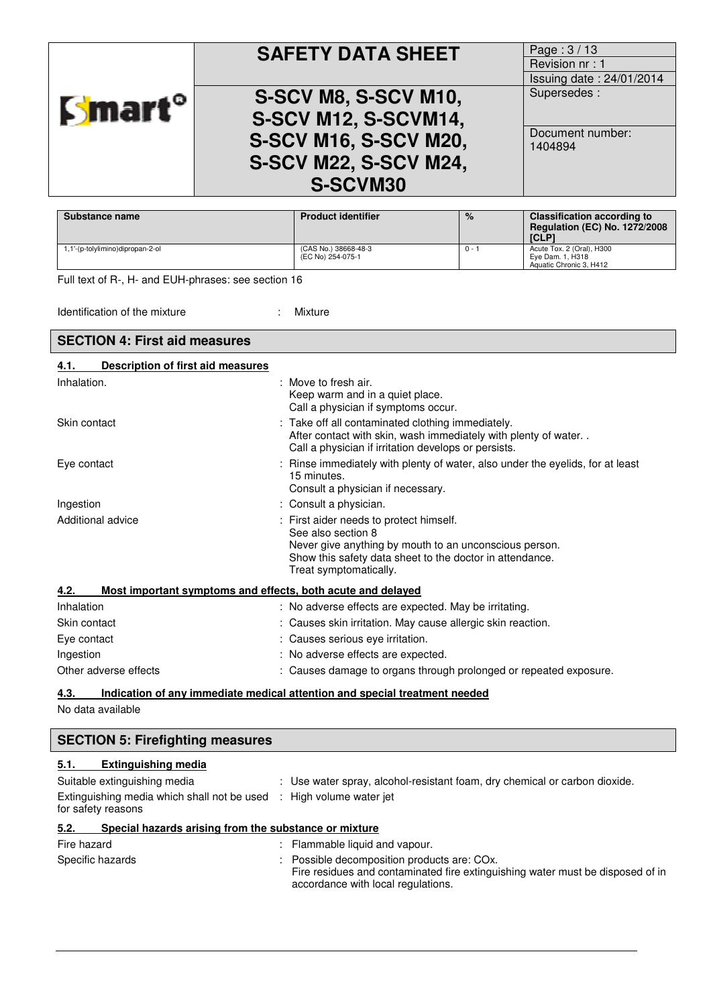| S-SCV M8, S-SCV M10,<br>Smart°<br>S-SCV M12, S-SCVM14,<br><b>S-SCV M16, S-SCV M20,</b><br><b>S-SCV M22, S-SCV M24,</b><br><b>S-SCVM30</b> | Issuing date: 24/01/2014<br>Supersedes:<br>Document number:<br>1404894 |  |
|-------------------------------------------------------------------------------------------------------------------------------------------|------------------------------------------------------------------------|--|

| Substance name                   | <b>Product identifier</b>                 | $\%$  | Classification according to<br><b>Regulation (EC) No. 1272/2008</b><br><b>ICLPI</b> |
|----------------------------------|-------------------------------------------|-------|-------------------------------------------------------------------------------------|
| 1,1'-(p-tolylimino)dipropan-2-ol | (CAS No.) 38668-48-3<br>(EC No) 254-075-1 | 0 - 1 | Acute Tox. 2 (Oral), H300<br>Eve Dam. 1. H318<br>Aquatic Chronic 3, H412            |

Full text of R-, H- and EUH-phrases: see section 16

Identification of the mixture **interest and the mixture** intervalsed the Mixture

| <b>SECTION 4: First aid measures</b>                                |                                                                                                                                                                                                               |
|---------------------------------------------------------------------|---------------------------------------------------------------------------------------------------------------------------------------------------------------------------------------------------------------|
| Description of first aid measures<br>4.1.                           |                                                                                                                                                                                                               |
| Inhalation.                                                         | $\pm$ Move to fresh air.<br>Keep warm and in a quiet place.<br>Call a physician if symptoms occur.                                                                                                            |
| Skin contact                                                        | : Take off all contaminated clothing immediately.<br>After contact with skin, wash immediately with plenty of water<br>Call a physician if irritation develops or persists.                                   |
| Eye contact                                                         | Rinse immediately with plenty of water, also under the eyelids, for at least<br>15 minutes.<br>Consult a physician if necessary.                                                                              |
| Ingestion                                                           | : Consult a physician.                                                                                                                                                                                        |
| Additional advice                                                   | : First aider needs to protect himself.<br>See also section 8<br>Never give anything by mouth to an unconscious person.<br>Show this safety data sheet to the doctor in attendance.<br>Treat symptomatically. |
| Most important symptoms and effects, both acute and delayed<br>4.2. |                                                                                                                                                                                                               |
| Inhalation                                                          | : No adverse effects are expected. May be irritating.                                                                                                                                                         |
| Skin contact                                                        | : Causes skin irritation. May cause allergic skin reaction.                                                                                                                                                   |
| Eye contact                                                         | : Causes serious eye irritation.                                                                                                                                                                              |
| Ingestion                                                           | : No adverse effects are expected.                                                                                                                                                                            |
| Other adverse effects                                               | : Causes damage to organs through prolonged or repeated exposure.                                                                                                                                             |

#### **4.3. Indication of any immediate medical attention and special treatment needed**

No data available

# **SECTION 5: Firefighting measures 5.1. Extinguishing media**  Suitable extinguishing media : Use water spray, alcohol-resistant foam, dry chemical or carbon dioxide. Extinguishing media which shall not be used : High volume water jet for safety reasons **5.2. Special hazards arising from the substance or mixture**  Fire hazard **Example 2018** Flammable liquid and vapour.

| Tile Hazalu      | <u>Fiammable liquid and vapour.</u>                                                                                                                                 |
|------------------|---------------------------------------------------------------------------------------------------------------------------------------------------------------------|
| Specific hazards | : Possible decomposition products are: COx.<br>Fire residues and contaminated fire extinguishing water must be disposed of in<br>accordance with local regulations. |
|                  |                                                                                                                                                                     |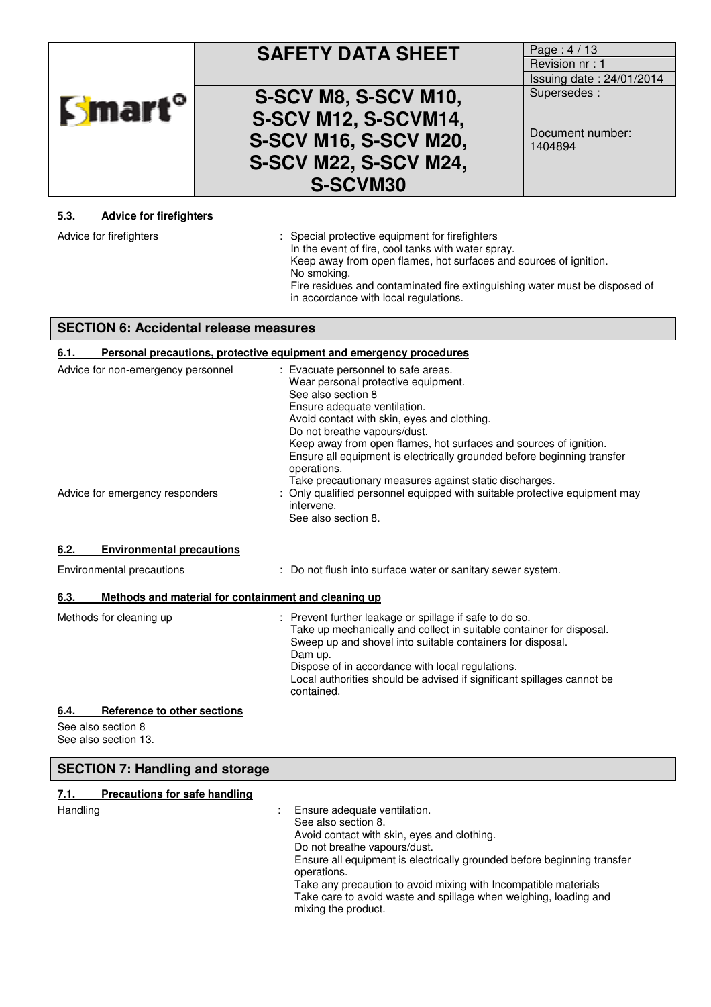| <b>Smart</b> ° | <b>SAFETY DATA SHEET</b>                                                                                                 | Page: 4/13<br>Revision nr: 1<br>Issuing date: 24/01/2014 |
|----------------|--------------------------------------------------------------------------------------------------------------------------|----------------------------------------------------------|
|                | S-SCV M8, S-SCV M10,<br>S-SCV M12, S-SCVM14,<br><b>S-SCV M16, S-SCV M20,</b><br><b>S-SCV M22, S-SCV M24,</b><br>S-SCVM30 | Supersedes:<br>Document number:<br>1404894               |

#### **5.3. Advice for firefighters**

| Advice for firefighters | : Special protective equipment for firefighters<br>In the event of fire, cool tanks with water spray.                |
|-------------------------|----------------------------------------------------------------------------------------------------------------------|
|                         | Keep away from open flames, hot surfaces and sources of ignition.<br>No smoking.                                     |
|                         | Fire residues and contaminated fire extinguishing water must be disposed of<br>in accordance with local regulations. |

#### **SECTION 6: Accidental release measures**

| 6.1.                                                         | Personal precautions, protective equipment and emergency procedures                                                                                                                                                                                                                                                                                                            |
|--------------------------------------------------------------|--------------------------------------------------------------------------------------------------------------------------------------------------------------------------------------------------------------------------------------------------------------------------------------------------------------------------------------------------------------------------------|
| Advice for non-emergency personnel                           | : Evacuate personnel to safe areas.<br>Wear personal protective equipment.<br>See also section 8<br>Ensure adequate ventilation.<br>Avoid contact with skin, eyes and clothing.<br>Do not breathe vapours/dust.<br>Keep away from open flames, hot surfaces and sources of ignition.<br>Ensure all equipment is electrically grounded before beginning transfer<br>operations. |
| Advice for emergency responders                              | Take precautionary measures against static discharges.<br>Only qualified personnel equipped with suitable protective equipment may<br>intervene.<br>See also section 8.                                                                                                                                                                                                        |
| 6.2.<br><b>Environmental precautions</b>                     |                                                                                                                                                                                                                                                                                                                                                                                |
| Environmental precautions                                    | : Do not flush into surface water or sanitary sewer system.                                                                                                                                                                                                                                                                                                                    |
| Methods and material for containment and cleaning up<br>6.3. |                                                                                                                                                                                                                                                                                                                                                                                |
| Methods for cleaning up                                      | : Prevent further leakage or spillage if safe to do so.<br>Take up mechanically and collect in suitable container for disposal.<br>Sweep up and shovel into suitable containers for disposal.<br>Dam up.<br>Dispose of in accordance with local regulations.<br>Local authorities should be advised if significant spillages cannot be<br>contained.                           |
| 6.4.<br>Reference to other sections                          |                                                                                                                                                                                                                                                                                                                                                                                |

See also section 8 See also section 13.

## **SECTION 7: Handling and storage**

# **7.1. Precautions for safe handling**

Handling **Ensure adequate ventilation.** Ensure adequate ventilation. See also section 8. Avoid contact with skin, eyes and clothing. Do not breathe vapours/dust. Ensure all equipment is electrically grounded before beginning transfer operations. Take any precaution to avoid mixing with Incompatible materials Take care to avoid waste and spillage when weighing, loading and mixing the product.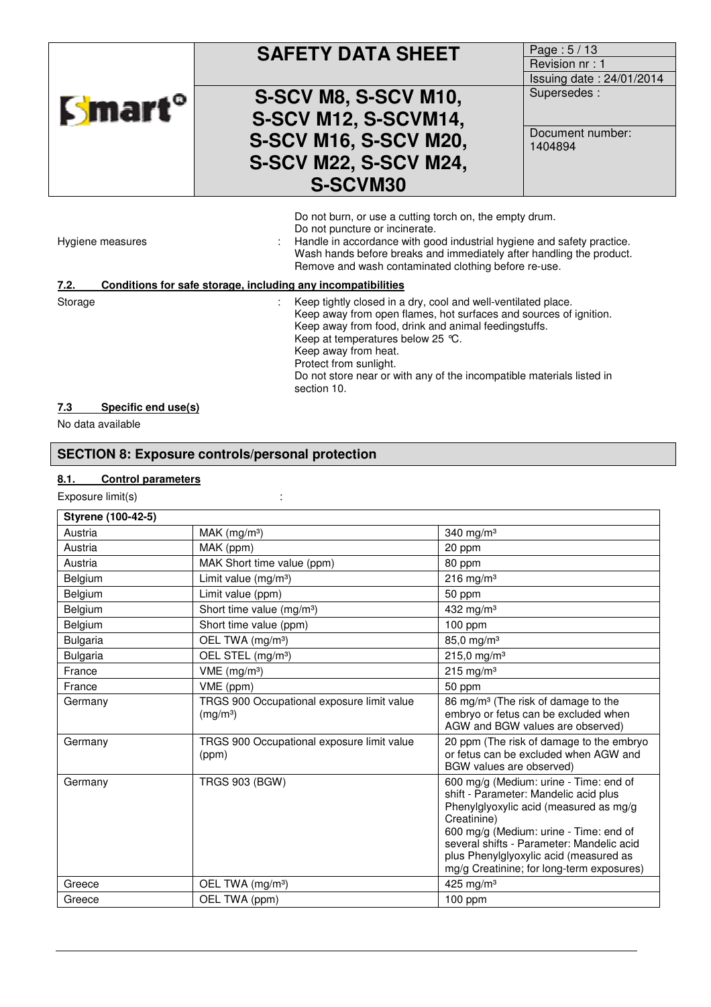| <b>Smart</b> ° | <b>SAFETY DATA SHEET</b>                                                                  | Page: 5/13<br>Revision nr: 1<br>Issuing date: 24/01/2014 |
|----------------|-------------------------------------------------------------------------------------------|----------------------------------------------------------|
|                | S-SCV M8, S-SCV M10,<br>S-SCV M12, S-SCVM14,                                              | Supersedes:                                              |
|                | S-SCV M16, S-SCV M20,<br><b>S-SCV M22, S-SCV M24,</b>                                     | Document number:<br>1404894                              |
|                | S-SCVM30                                                                                  |                                                          |
|                | Do not burn, or use a cutting torch on, the empty drum.<br>Do not puncture or incinerate. |                                                          |

|  |  |            | D) |
|--|--|------------|----|
|  |  | $\cdot$ H: |    |

|         | Hygiene measures                                             | Handle in accordance with good industrial hygiene and safety practice.<br>Wash hands before breaks and immediately after handling the product.<br>Remove and wash contaminated clothing before re-use.                          |
|---------|--------------------------------------------------------------|---------------------------------------------------------------------------------------------------------------------------------------------------------------------------------------------------------------------------------|
| 7.2.    | Conditions for safe storage, including any incompatibilities |                                                                                                                                                                                                                                 |
| Storage |                                                              | Keep tightly closed in a dry, cool and well-ventilated place.<br>Keep away from open flames, hot surfaces and sources of ignition.<br>Keep away from food, drink and animal feedingstuffs.<br>Keep at temperatures below 25 °C. |

Keep away from heat. Protect from sunlight.

section 10.

Do not store near or with any of the incompatible materials listed in

#### **7.3 Specific end use(s)**

No data available

# **SECTION 8: Exposure controls/personal protection**

## **8.1. Control parameters**

Exposure limit(s) in the set of the set of the set of the set of the set of the set of the set of the set of the set of the set of the set of the set of the set of the set of the set of the set of the set of the set of the

| Styrene (100-42-5) |                                                                    |                                                                                                                                                                                                                                                                                                                        |
|--------------------|--------------------------------------------------------------------|------------------------------------------------------------------------------------------------------------------------------------------------------------------------------------------------------------------------------------------------------------------------------------------------------------------------|
| Austria            | MAK (mg/m <sup>3</sup> )                                           | 340 mg/m <sup>3</sup>                                                                                                                                                                                                                                                                                                  |
| Austria            | MAK (ppm)                                                          | 20 ppm                                                                                                                                                                                                                                                                                                                 |
| Austria            | MAK Short time value (ppm)                                         | 80 ppm                                                                                                                                                                                                                                                                                                                 |
| Belgium            | Limit value (mg/m <sup>3</sup> )                                   | $216$ mg/m <sup>3</sup>                                                                                                                                                                                                                                                                                                |
| Belgium            | Limit value (ppm)                                                  | 50 ppm                                                                                                                                                                                                                                                                                                                 |
| Belgium            | Short time value (mg/m <sup>3</sup> )                              | 432 mg/m <sup>3</sup>                                                                                                                                                                                                                                                                                                  |
| Belgium            | Short time value (ppm)                                             | 100 ppm                                                                                                                                                                                                                                                                                                                |
| <b>Bulgaria</b>    | OEL TWA (mg/m <sup>3</sup> )                                       | 85,0 mg/m <sup>3</sup>                                                                                                                                                                                                                                                                                                 |
| <b>Bulgaria</b>    | OEL STEL (mg/m <sup>3</sup> )                                      | $215,0$ mg/m <sup>3</sup>                                                                                                                                                                                                                                                                                              |
| France             | VME (mg/m <sup>3</sup> )                                           | $215$ mg/m <sup>3</sup>                                                                                                                                                                                                                                                                                                |
| France             | VME (ppm)                                                          | 50 ppm                                                                                                                                                                                                                                                                                                                 |
| Germany            | TRGS 900 Occupational exposure limit value<br>(mg/m <sup>3</sup> ) | 86 mg/m <sup>3</sup> (The risk of damage to the<br>embryo or fetus can be excluded when<br>AGW and BGW values are observed)                                                                                                                                                                                            |
| Germany            | TRGS 900 Occupational exposure limit value<br>(ppm)                | 20 ppm (The risk of damage to the embryo<br>or fetus can be excluded when AGW and<br>BGW values are observed)                                                                                                                                                                                                          |
| Germany            | <b>TRGS 903 (BGW)</b>                                              | 600 mg/g (Medium: urine - Time: end of<br>shift - Parameter: Mandelic acid plus<br>Phenylglyoxylic acid (measured as mg/g<br>Creatinine)<br>600 mg/g (Medium: urine - Time: end of<br>several shifts - Parameter: Mandelic acid<br>plus Phenylglyoxylic acid (measured as<br>mg/g Creatinine; for long-term exposures) |
| Greece             | OEL TWA (mg/m <sup>3</sup> )                                       | 425 mg/m <sup>3</sup>                                                                                                                                                                                                                                                                                                  |
| Greece             | OEL TWA (ppm)                                                      | 100 ppm                                                                                                                                                                                                                                                                                                                |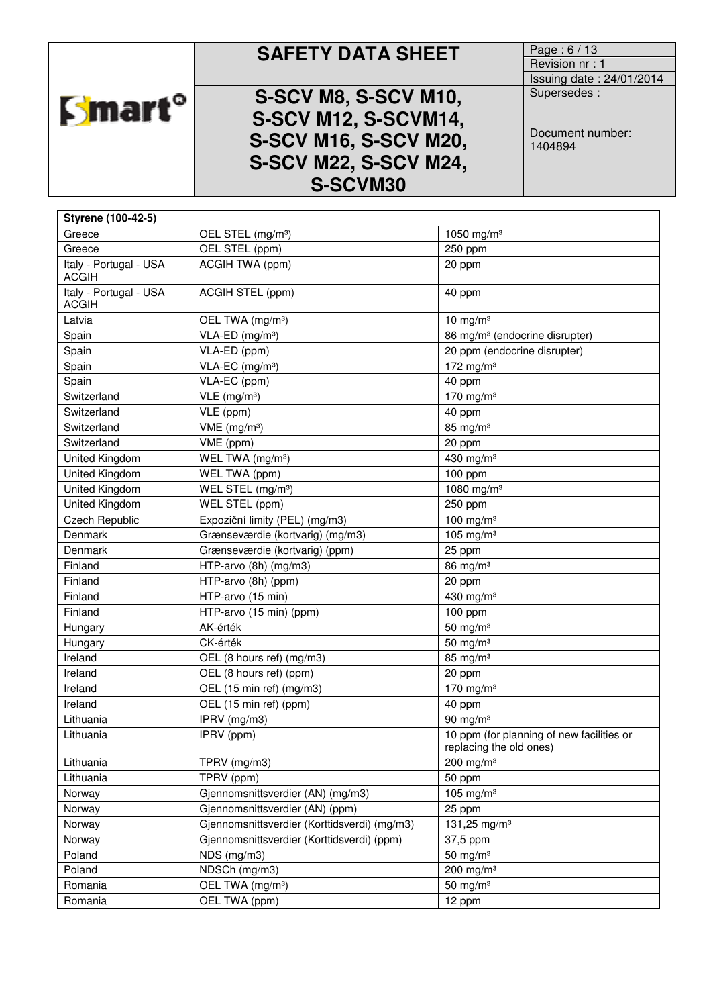# **SAFETY DATA SHEET** Page: 6/13

**S-SCV M8, S-SCV M10, S-SCV M12, S-SCVM14, S-SCV M16, S-SCV M20, S-SCV M22, S-SCV M24, S-SCVM30** 

Smart<sup>o</sup>

Revision nr : 1 Issuing date : 24/01/2014 Supersedes :

Document number: 1404894

| Styrene (100-42-5)                     |                                                         |                                                                      |  |
|----------------------------------------|---------------------------------------------------------|----------------------------------------------------------------------|--|
| Greece                                 | OEL STEL (mg/m <sup>3</sup> )<br>1050 mg/m <sup>3</sup> |                                                                      |  |
| Greece                                 | OEL STEL (ppm)                                          | 250 ppm                                                              |  |
| Italy - Portugal - USA<br><b>ACGIH</b> | ACGIH TWA (ppm)                                         | 20 ppm                                                               |  |
| Italy - Portugal - USA<br><b>ACGIH</b> | ACGIH STEL (ppm)                                        | 40 ppm                                                               |  |
| Latvia                                 | OEL TWA (mg/m <sup>3</sup> )                            | 10 mg/m $3$                                                          |  |
| Spain                                  | VLA-ED (mg/m <sup>3</sup> )                             | 86 mg/m <sup>3</sup> (endocrine disrupter)                           |  |
| Spain                                  | VLA-ED (ppm)                                            | 20 ppm (endocrine disrupter)                                         |  |
| Spain                                  | VLA-EC (mg/m <sup>3</sup> )                             | 172 mg/m <sup>3</sup>                                                |  |
| Spain                                  | VLA-EC (ppm)                                            | 40 ppm                                                               |  |
| Switzerland                            | $VLE$ (mg/m <sup>3</sup> )                              | 170 mg/m $3$                                                         |  |
| Switzerland                            | VLE (ppm)                                               | 40 ppm                                                               |  |
| Switzerland                            | VME (mg/m <sup>3</sup> )                                | 85 mg/m <sup>3</sup>                                                 |  |
| Switzerland                            | VME (ppm)                                               | 20 ppm                                                               |  |
| United Kingdom                         | WEL TWA (mg/m <sup>3</sup> )                            | 430 mg/m <sup>3</sup>                                                |  |
| United Kingdom                         | WEL TWA (ppm)                                           | 100 ppm                                                              |  |
| United Kingdom                         | WEL STEL (mg/m <sup>3</sup> )                           | 1080 mg/m <sup>3</sup>                                               |  |
| United Kingdom                         | WEL STEL (ppm)                                          | 250 ppm                                                              |  |
| <b>Czech Republic</b>                  | Expoziční limity (PEL) (mg/m3)                          | 100 mg/m $3$                                                         |  |
| Denmark                                | 105 mg/m $3$<br>Grænseværdie (kortvarig) (mg/m3)        |                                                                      |  |
| Denmark                                | Grænseværdie (kortvarig) (ppm)                          | 25 ppm                                                               |  |
| Finland                                | HTP-arvo (8h) (mg/m3)                                   | 86 mg/m <sup>3</sup>                                                 |  |
| Finland                                | HTP-arvo (8h) (ppm)<br>20 ppm                           |                                                                      |  |
| Finland                                | HTP-arvo (15 min)<br>430 mg/m <sup>3</sup>              |                                                                      |  |
| Finland                                | HTP-arvo (15 min) (ppm)                                 | 100 ppm                                                              |  |
| Hungary                                | AK-érték<br>50 mg/m $3$                                 |                                                                      |  |
| Hungary                                | CK-érték<br>50 mg/m $3$                                 |                                                                      |  |
| Ireland                                | 85 mg/m <sup>3</sup><br>OEL (8 hours ref) (mg/m3)       |                                                                      |  |
| Ireland                                | OEL (8 hours ref) (ppm)                                 | 20 ppm                                                               |  |
| Ireland                                | OEL (15 min ref) (mg/m3)                                | 170 mg/m <sup>3</sup>                                                |  |
| Ireland                                | OEL (15 min ref) (ppm)                                  | 40 ppm                                                               |  |
| Lithuania                              | IPRV (mg/m3)<br>90 mg/m $3$                             |                                                                      |  |
| Lithuania                              | IPRV (ppm)                                              | 10 ppm (for planning of new facilities or<br>replacing the old ones) |  |
| Lithuania                              | TPRV (mg/m3)                                            | 200 mg/m $3$                                                         |  |
| Lithuania                              | TPRV (ppm)<br>50 ppm                                    |                                                                      |  |
| Norway                                 | Gjennomsnittsverdier (AN) (mg/m3)<br>105 mg/m $3$       |                                                                      |  |
| Norway                                 | Gjennomsnittsverdier (AN) (ppm)<br>25 ppm               |                                                                      |  |
| Norway                                 | Gjennomsnittsverdier (Korttidsverdi) (mg/m3)            | 131,25 mg/m <sup>3</sup>                                             |  |
| Norway                                 | Gjennomsnittsverdier (Korttidsverdi) (ppm)              | 37,5 ppm                                                             |  |
| Poland                                 | NDS (mg/m3)                                             | 50 mg/m $3$                                                          |  |
| Poland                                 | NDSCh (mg/m3)                                           | 200 mg/m <sup>3</sup>                                                |  |
| Romania                                | OEL TWA (mg/m <sup>3</sup> )                            | 50 mg/m $3$                                                          |  |
| Romania                                | OEL TWA (ppm)                                           | 12 ppm                                                               |  |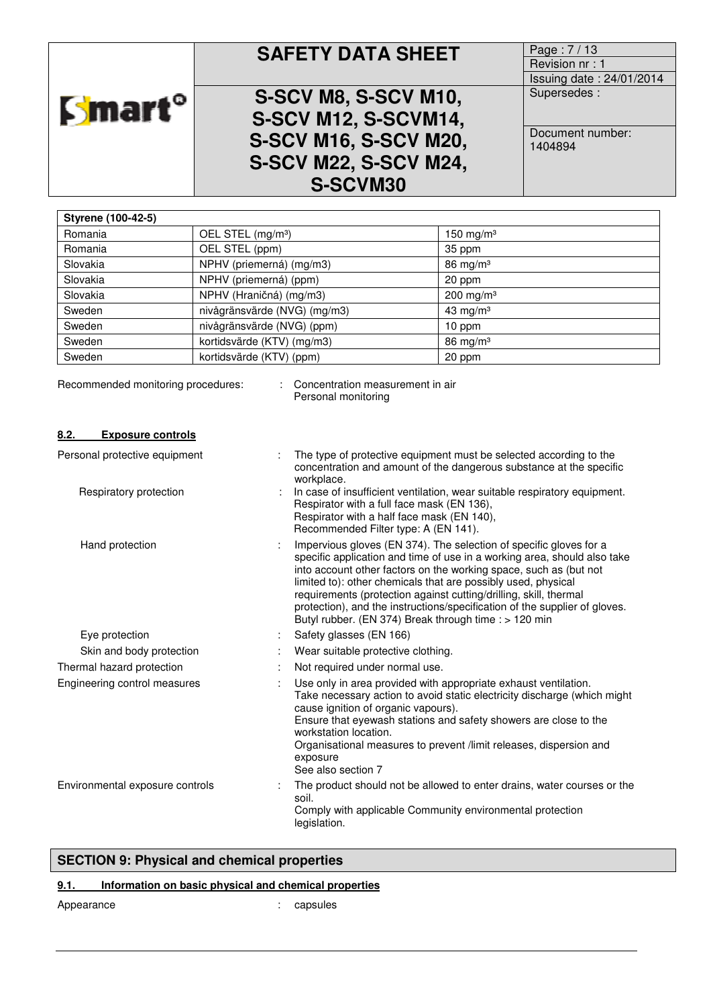|                           | <b>SAFETY DATA SHEET</b>                                                                                                        | Page: 7/13<br>Revision nr: 1<br>Issuing date: 24/01/2014 |
|---------------------------|---------------------------------------------------------------------------------------------------------------------------------|----------------------------------------------------------|
| <b>Smart</b> <sup>o</sup> | S-SCV M8, S-SCV M10,<br>S-SCV M12, S-SCVM14,<br><b>S-SCV M16, S-SCV M20,</b><br><b>S-SCV M22, S-SCV M24,</b><br><b>S-SCVM30</b> | Supersedes:<br>Document number:<br>1404894               |

| Styrene (100-42-5) |                               |              |  |  |
|--------------------|-------------------------------|--------------|--|--|
| Romania            | OEL STEL (mg/m <sup>3</sup> ) | 150 mg/m $3$ |  |  |
| Romania            | OEL STEL (ppm)                | 35 ppm       |  |  |
| Slovakia           | NPHV (priemerná) (mg/m3)      | 86 mg/m $3$  |  |  |
| Slovakia           | NPHV (priemerná) (ppm)        | 20 ppm       |  |  |
| Slovakia           | NPHV (Hraničná) (mg/m3)       | 200 mg/m $3$ |  |  |
| Sweden             | nivågränsvärde (NVG) (mg/m3)  | 43 mg/m $3$  |  |  |
| Sweden             | nivågränsvärde (NVG) (ppm)    | $10$ ppm     |  |  |
| Sweden             | kortidsvärde (KTV) (mg/m3)    | 86 mg/m $3$  |  |  |
| Sweden             | kortidsvärde (KTV) (ppm)      | 20 ppm       |  |  |

Recommended monitoring procedures: : Concentration measurement in air Personal monitoring

## **8.2. Exposure controls**

| Personal protective equipment   | The type of protective equipment must be selected according to the<br>concentration and amount of the dangerous substance at the specific<br>workplace.                                                                                                                                                                                                                                                                                                                                          |
|---------------------------------|--------------------------------------------------------------------------------------------------------------------------------------------------------------------------------------------------------------------------------------------------------------------------------------------------------------------------------------------------------------------------------------------------------------------------------------------------------------------------------------------------|
| Respiratory protection          | In case of insufficient ventilation, wear suitable respiratory equipment.<br>Respirator with a full face mask (EN 136),<br>Respirator with a half face mask (EN 140),<br>Recommended Filter type: A (EN 141).                                                                                                                                                                                                                                                                                    |
| Hand protection                 | Impervious gloves (EN 374). The selection of specific gloves for a<br>specific application and time of use in a working area, should also take<br>into account other factors on the working space, such as (but not<br>limited to): other chemicals that are possibly used, physical<br>requirements (protection against cutting/drilling, skill, thermal<br>protection), and the instructions/specification of the supplier of gloves.<br>Butyl rubber. (EN 374) Break through time : > 120 min |
| Eye protection                  | Safety glasses (EN 166)                                                                                                                                                                                                                                                                                                                                                                                                                                                                          |
| Skin and body protection        | Wear suitable protective clothing.                                                                                                                                                                                                                                                                                                                                                                                                                                                               |
| Thermal hazard protection       | Not required under normal use.                                                                                                                                                                                                                                                                                                                                                                                                                                                                   |
| Engineering control measures    | Use only in area provided with appropriate exhaust ventilation.<br>Take necessary action to avoid static electricity discharge (which might<br>cause ignition of organic vapours).<br>Ensure that eyewash stations and safety showers are close to the<br>workstation location.<br>Organisational measures to prevent /limit releases, dispersion and                                                                                                                                            |
|                                 | exposure<br>See also section 7                                                                                                                                                                                                                                                                                                                                                                                                                                                                   |
| Environmental exposure controls | The product should not be allowed to enter drains, water courses or the<br>soil.                                                                                                                                                                                                                                                                                                                                                                                                                 |
|                                 | Comply with applicable Community environmental protection<br>legislation.                                                                                                                                                                                                                                                                                                                                                                                                                        |

# **SECTION 9: Physical and chemical properties**

## **9.1. Information on basic physical and chemical properties**

Appearance in the capsules in the capsules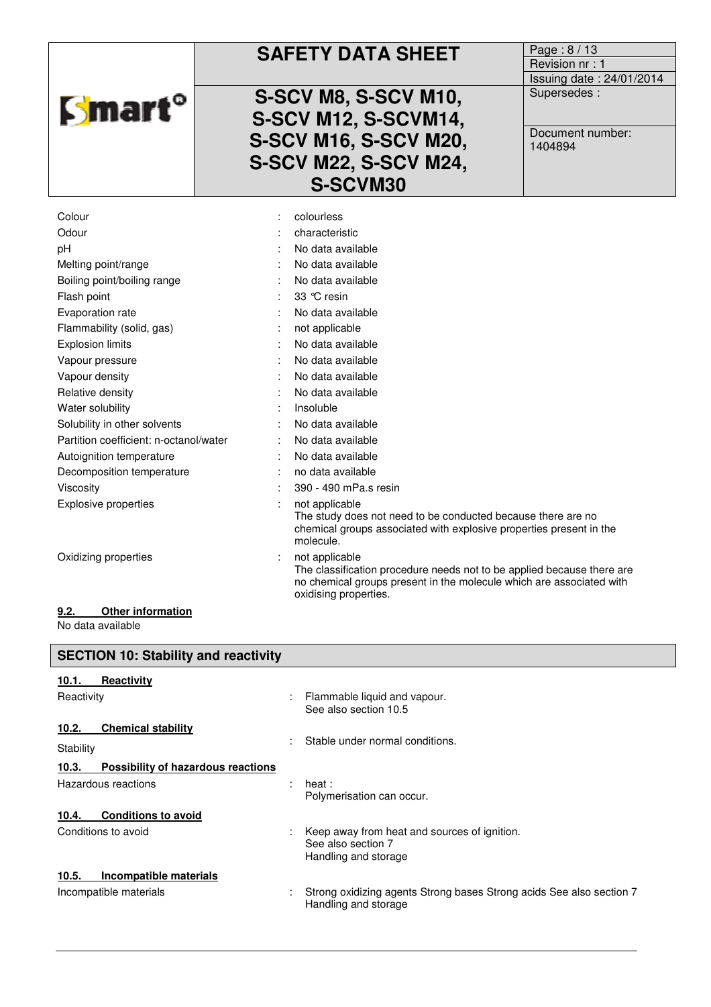| <b>Smart</b> °                                                                                                                  | <b>SAFETY DATA SHEET</b><br>S-SCV M8, S-SCV M10,<br>S-SCV M12, S-SCVM14,<br><b>S-SCV M16, S-SCV M20,</b><br><b>S-SCV M22, S-SCV M24,</b>                                                    | Page: 8 / 13<br>Revision nr: 1<br>Issuing date: 24/01/2014<br>Supersedes:<br>Document number:<br>1404894 |
|---------------------------------------------------------------------------------------------------------------------------------|---------------------------------------------------------------------------------------------------------------------------------------------------------------------------------------------|----------------------------------------------------------------------------------------------------------|
|                                                                                                                                 | S-SCVM30                                                                                                                                                                                    |                                                                                                          |
| Colour<br>Odour<br>pH<br>Melting point/range<br>Boiling point/boiling range                                                     | colourless<br>characteristic<br>No data available<br>No data available<br>No data available                                                                                                 |                                                                                                          |
| Flash point<br>Evaporation rate<br>Flammability (solid, gas)<br><b>Explosion limits</b>                                         | 33 °C resin<br>No data available<br>not applicable<br>No data available                                                                                                                     |                                                                                                          |
| Vapour pressure<br>Vapour density<br>Relative density<br>Water solubility                                                       | No data available<br>No data available<br>No data available<br>Insoluble                                                                                                                    |                                                                                                          |
| Solubility in other solvents<br>Partition coefficient: n-octanol/water<br>Autoignition temperature<br>Decomposition temperature | No data available<br>No data available<br>No data available<br>no data available                                                                                                            |                                                                                                          |
| Viscosity<br><b>Explosive properties</b>                                                                                        | 390 - 490 mPa.s resin<br>not applicable<br>The study does not need to be conducted because there are no<br>chemical groups associated with explosive properties present in the<br>molecule. |                                                                                                          |
| Oxidizing properties                                                                                                            | not applicable<br>The classification procedure needs not to be applied because there are<br>no chemical groups present in the molecule which are associated with<br>oxidising properties.   |                                                                                                          |

#### **9.2. Other information**

No data available

| <b>SECTION 10: Stability and reactivity</b> |                                                                                              |  |  |
|---------------------------------------------|----------------------------------------------------------------------------------------------|--|--|
| 10.1.<br><b>Reactivity</b>                  |                                                                                              |  |  |
| Reactivity                                  | Flammable liquid and vapour.<br>See also section 10.5                                        |  |  |
| 10.2.<br><b>Chemical stability</b>          |                                                                                              |  |  |
| Stability                                   | Stable under normal conditions.                                                              |  |  |
| Possibility of hazardous reactions<br>10.3. |                                                                                              |  |  |
| Hazardous reactions                         | heat :<br>Polymerisation can occur.                                                          |  |  |
| <b>Conditions to avoid</b><br>10.4.         |                                                                                              |  |  |
| Conditions to avoid                         | Keep away from heat and sources of ignition.<br>See also section 7<br>Handling and storage   |  |  |
| Incompatible materials<br>10.5.             |                                                                                              |  |  |
| Incompatible materials                      | Strong oxidizing agents Strong bases Strong acids See also section 7<br>Handling and storage |  |  |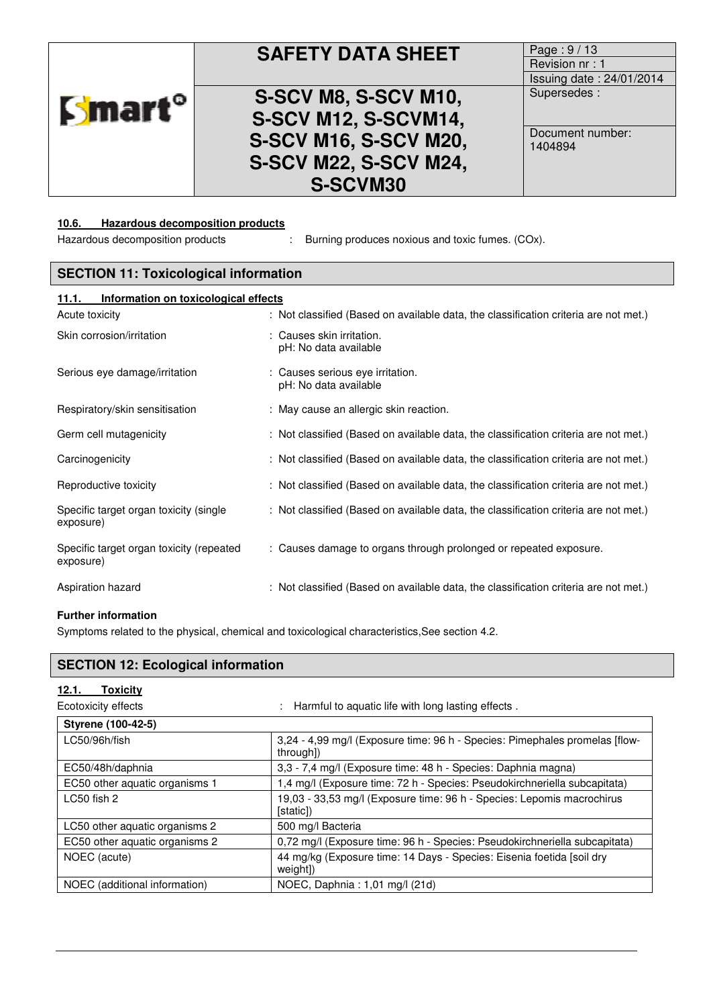|                           | <b>SAFETY DATA SHEET</b>     | Page: 9/13                  |
|---------------------------|------------------------------|-----------------------------|
|                           |                              | Revision nr: 1              |
|                           |                              | Issuing date: 24/01/2014    |
| <b>Smart</b> <sup>o</sup> | S-SCV M8, S-SCV M10,         | Supersedes:                 |
|                           | S-SCV M12, S-SCVM14,         |                             |
|                           | <b>S-SCV M16, S-SCV M20,</b> | Document number:<br>1404894 |
|                           | <b>S-SCV M22, S-SCV M24,</b> |                             |
|                           | S-SCVM30                     |                             |

#### **10.6. Hazardous decomposition products**

Hazardous decomposition products : Burning produces noxious and toxic fumes. (COx).

| <b>SECTION 11: Toxicological information</b>          |                                                                                      |  |  |
|-------------------------------------------------------|--------------------------------------------------------------------------------------|--|--|
| 11.1.<br>Information on toxicological effects         |                                                                                      |  |  |
| Acute toxicity                                        | : Not classified (Based on available data, the classification criteria are not met.) |  |  |
| Skin corrosion/irritation                             | : Causes skin irritation.<br>pH: No data available                                   |  |  |
| Serious eye damage/irritation                         | : Causes serious eye irritation.<br>pH: No data available                            |  |  |
| Respiratory/skin sensitisation                        | : May cause an allergic skin reaction.                                               |  |  |
| Germ cell mutagenicity                                | : Not classified (Based on available data, the classification criteria are not met.) |  |  |
| Carcinogenicity                                       | : Not classified (Based on available data, the classification criteria are not met.) |  |  |
| Reproductive toxicity                                 | : Not classified (Based on available data, the classification criteria are not met.) |  |  |
| Specific target organ toxicity (single<br>exposure)   | : Not classified (Based on available data, the classification criteria are not met.) |  |  |
| Specific target organ toxicity (repeated<br>exposure) | : Causes damage to organs through prolonged or repeated exposure.                    |  |  |
| Aspiration hazard                                     | : Not classified (Based on available data, the classification criteria are not met.) |  |  |
| <b>Further information</b>                            |                                                                                      |  |  |

Symptoms related to the physical, chemical and toxicological characteristics, See section 4.2.

| <b>SECTION 12: Ecological information</b> |                                                                                          |  |  |
|-------------------------------------------|------------------------------------------------------------------------------------------|--|--|
| 12.1.<br><b>Toxicity</b>                  |                                                                                          |  |  |
| Ecotoxicity effects                       | Harmful to aquatic life with long lasting effects.                                       |  |  |
| Styrene (100-42-5)                        |                                                                                          |  |  |
| LC50/96h/fish                             | 3,24 - 4,99 mg/l (Exposure time: 96 h - Species: Pimephales promelas [flow-<br>through]) |  |  |
| EC50/48h/daphnia                          | 3,3 - 7,4 mg/l (Exposure time: 48 h - Species: Daphnia magna)                            |  |  |
| EC50 other aquatic organisms 1            | 1,4 mg/l (Exposure time: 72 h - Species: Pseudokirchneriella subcapitata)                |  |  |
| LC50 fish 2                               | 19,03 - 33,53 mg/l (Exposure time: 96 h - Species: Lepomis macrochirus<br>[static])      |  |  |
| LC50 other aquatic organisms 2            | 500 mg/l Bacteria                                                                        |  |  |
| EC50 other aquatic organisms 2            | 0,72 mg/l (Exposure time: 96 h - Species: Pseudokirchneriella subcapitata)               |  |  |
| NOEC (acute)                              | 44 mg/kg (Exposure time: 14 Days - Species: Eisenia foetida [soil dry<br>weight])        |  |  |
| NOEC (additional information)             | NOEC, Daphnia: 1,01 mg/l (21d)                                                           |  |  |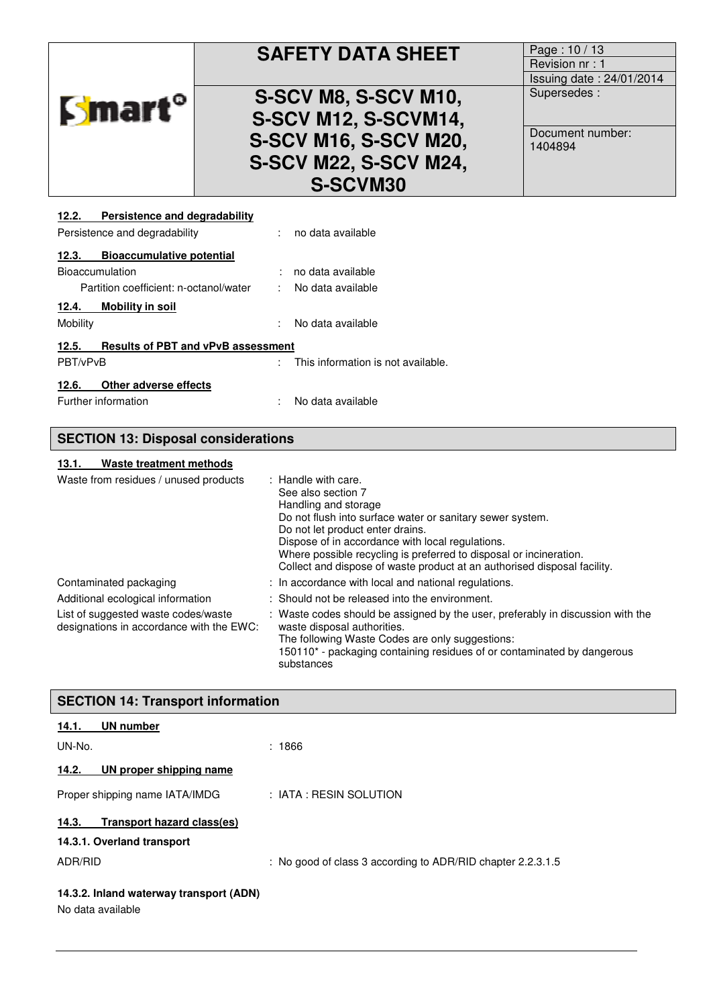|                                                    | <b>SAFETY DATA SHEET</b>           | Page: 10 / 13            |
|----------------------------------------------------|------------------------------------|--------------------------|
|                                                    |                                    | Revision nr: 1           |
|                                                    |                                    | Issuing date: 24/01/2014 |
|                                                    | S-SCV M8, S-SCV M10,               | Supersedes:              |
| <b>Smart</b> °                                     | S-SCV M12, S-SCVM14,               |                          |
|                                                    |                                    | Document number:         |
|                                                    | <b>S-SCV M16, S-SCV M20,</b>       | 1404894                  |
|                                                    | <b>S-SCV M22, S-SCV M24,</b>       |                          |
|                                                    |                                    |                          |
|                                                    | <b>S-SCVM30</b>                    |                          |
| Persistence and degradability<br>12.2.             |                                    |                          |
| Persistence and degradability                      | : no data available                |                          |
| <b>Bioaccumulative potential</b><br>12.3.          |                                    |                          |
| Bioaccumulation                                    | no data available                  |                          |
| Partition coefficient: n-octanol/water             | No data available                  |                          |
| <b>Mobility in soil</b><br>12.4.                   |                                    |                          |
| Mobility                                           | No data available                  |                          |
| <b>Results of PBT and vPvB assessment</b><br>12.5. |                                    |                          |
| PBT/vPvB                                           | This information is not available. |                          |

# **12.6. Other adverse effects**

Further information **interest in the contract of the Contract Contract Contract Contract Contract Contract Contract Contract Contract Contract Contract Contract Contract Contract Contract Contract Contract Contract Contrac** 

# **SECTION 13: Disposal considerations**

#### **13.1. Waste treatment methods**

| Waste from residues / unused products                                           | : Handle with care.<br>See also section 7<br>Handling and storage<br>Do not flush into surface water or sanitary sewer system.<br>Do not let product enter drains.<br>Dispose of in accordance with local regulations.<br>Where possible recycling is preferred to disposal or incineration.<br>Collect and dispose of waste product at an authorised disposal facility. |
|---------------------------------------------------------------------------------|--------------------------------------------------------------------------------------------------------------------------------------------------------------------------------------------------------------------------------------------------------------------------------------------------------------------------------------------------------------------------|
| Contaminated packaging<br>Additional ecological information                     | : In accordance with local and national regulations.<br>: Should not be released into the environment.                                                                                                                                                                                                                                                                   |
| List of suggested waste codes/waste<br>designations in accordance with the EWC: | : Waste codes should be assigned by the user, preferably in discussion with the<br>waste disposal authorities.<br>The following Waste Codes are only suggestions:<br>150110* - packaging containing residues of or contaminated by dangerous<br>substances                                                                                                               |

| <b>SECTION 14: Transport information</b>                     |                                                             |  |
|--------------------------------------------------------------|-------------------------------------------------------------|--|
| UN number<br>14.1.                                           |                                                             |  |
| UN-No.                                                       | :1866                                                       |  |
| UN proper shipping name<br>14.2.                             |                                                             |  |
| Proper shipping name IATA/IMDG                               | $\pm$ IATA : RESIN SOLUTION                                 |  |
| Transport hazard class(es)<br>14.3.                          |                                                             |  |
| 14.3.1. Overland transport                                   |                                                             |  |
| ADR/RID                                                      | : No good of class 3 according to ADR/RID chapter 2.2.3.1.5 |  |
| 14.3.2. Inland waterway transport (ADN)<br>No data available |                                                             |  |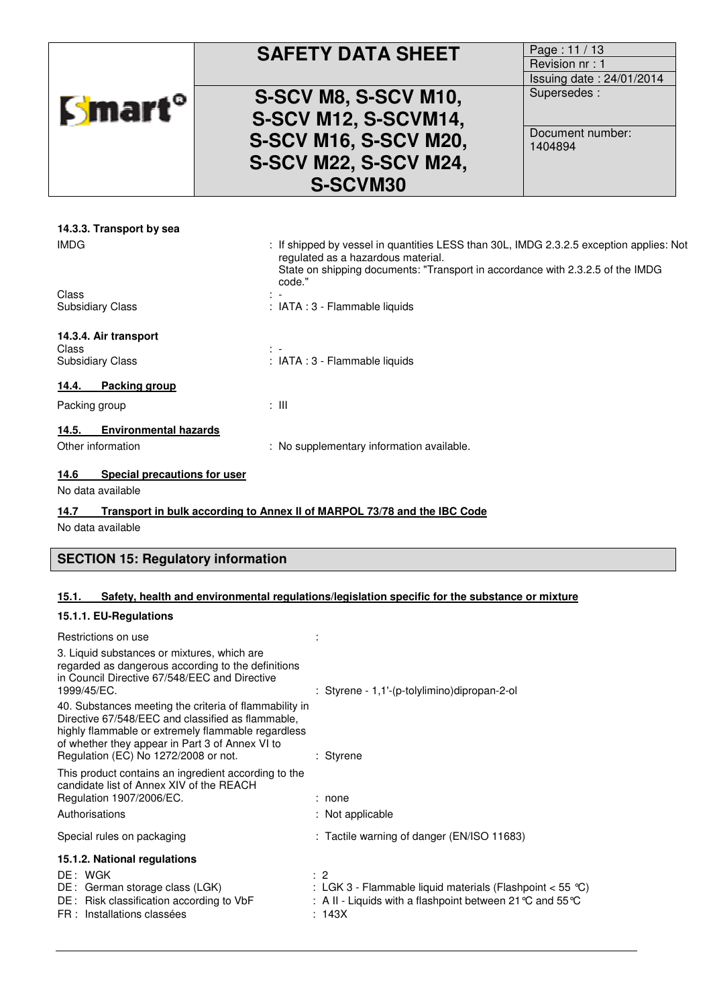|                | <b>SAFETY DATA SHEET</b>                                                                                                 | Page: 11 / 13<br>Revision nr: 1<br>Issuing date: 24/01/2014 |
|----------------|--------------------------------------------------------------------------------------------------------------------------|-------------------------------------------------------------|
| <b>Smart</b> ° | S-SCV M8, S-SCV M10,<br>S-SCV M12, S-SCVM14,<br><b>S-SCV M16, S-SCV M20,</b><br><b>S-SCV M22, S-SCV M24,</b><br>S-SCVM30 | Supersedes:<br>Document number:<br>1404894                  |
|                |                                                                                                                          |                                                             |

## **14.3.3. Transport by sea**

| <b>IMDG</b>                                 | : If shipped by vessel in quantities LESS than 30L, IMDG 2.3.2.5 exception applies: Not<br>regulated as a hazardous material. |  |
|---------------------------------------------|-------------------------------------------------------------------------------------------------------------------------------|--|
|                                             | State on shipping documents: "Transport in accordance with 2.3.2.5 of the IMDG<br>code."                                      |  |
| Class                                       |                                                                                                                               |  |
| <b>Subsidiary Class</b>                     | : IATA : 3 - Flammable liquids                                                                                                |  |
| 14.3.4. Air transport                       |                                                                                                                               |  |
| Class                                       |                                                                                                                               |  |
| <b>Subsidiary Class</b>                     | : IATA : 3 - Flammable liquids                                                                                                |  |
| Packing group<br>14.4.                      |                                                                                                                               |  |
| Packing group                               | : III                                                                                                                         |  |
| <b>Environmental hazards</b><br>14.5.       |                                                                                                                               |  |
| Other information                           | : No supplementary information available.                                                                                     |  |
| <b>Special precautions for user</b><br>14.6 |                                                                                                                               |  |
| No data available                           |                                                                                                                               |  |
| 14.7                                        | Transport in bulk according to Annex II of MARPOL 73/78 and the IBC Code                                                      |  |

No data available

# **SECTION 15: Regulatory information**

# **15.1. Safety, health and environmental regulations/legislation specific for the substance or mixture**

# **15.1.1. EU-Regulations**

| Restrictions on use                                                                                                                                                                                                                                          |                                                                                                                                                                         |
|--------------------------------------------------------------------------------------------------------------------------------------------------------------------------------------------------------------------------------------------------------------|-------------------------------------------------------------------------------------------------------------------------------------------------------------------------|
| 3. Liquid substances or mixtures, which are<br>regarded as dangerous according to the definitions<br>in Council Directive 67/548/EEC and Directive<br>1999/45/EC.                                                                                            | : Styrene - 1,1'-(p-tolylimino) dipropan-2-ol                                                                                                                           |
| 40. Substances meeting the criteria of flammability in<br>Directive 67/548/EEC and classified as flammable,<br>highly flammable or extremely flammable regardless<br>of whether they appear in Part 3 of Annex VI to<br>Regulation (EC) No 1272/2008 or not. | : Styrene                                                                                                                                                               |
| This product contains an ingredient according to the<br>candidate list of Annex XIV of the REACH<br>Regulation 1907/2006/EC.                                                                                                                                 | : none                                                                                                                                                                  |
| Authorisations                                                                                                                                                                                                                                               | : Not applicable                                                                                                                                                        |
| Special rules on packaging                                                                                                                                                                                                                                   | : Tactile warning of danger (EN/ISO 11683)                                                                                                                              |
| 15.1.2. National regulations                                                                                                                                                                                                                                 |                                                                                                                                                                         |
| DE: WGK<br>DE: German storage class (LGK)<br>DE: Risk classification according to VbF<br>FR : Installations classées                                                                                                                                         | $\therefore$ 2<br>: LGK 3 - Flammable liquid materials (Flashpoint $<$ 55 °C)<br>: A II - Liquids with a flashpoint between 21 $\degree$ C and 55 $\degree$ C<br>: 143X |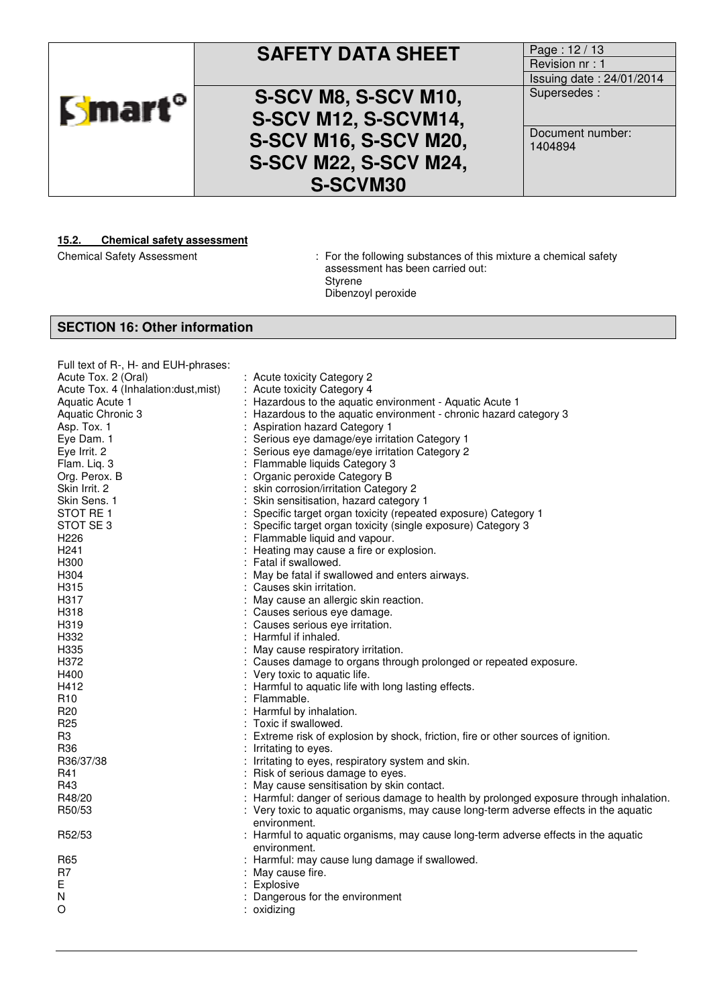|                | <b>SAFETY DATA SHEET</b>                                                                                                 | Page: 12/13<br>Revision nr: 1<br>Issuing date: 24/01/2014 |
|----------------|--------------------------------------------------------------------------------------------------------------------------|-----------------------------------------------------------|
| <b>Smart</b> ° | S-SCV M8, S-SCV M10,<br>S-SCV M12, S-SCVM14,<br>S-SCV M16, S-SCV M20,<br><b>S-SCV M22, S-SCV M24,</b><br><b>S-SCVM30</b> | Supersedes:<br>Document number:<br>1404894                |

## **15.2. Chemical safety assessment**

Chemical Safety Assessment : For the following substances of this mixture a chemical safety assessment has been carried out: Styrene

Dibenzoyl peroxide

## **SECTION 16: Other information**

| Full text of R-, H- and EUH-phrases: |                                                                                         |
|--------------------------------------|-----------------------------------------------------------------------------------------|
| Acute Tox. 2 (Oral)                  | : Acute toxicity Category 2                                                             |
| Acute Tox. 4 (Inhalation:dust, mist) | : Acute toxicity Category 4                                                             |
| Aquatic Acute 1                      | : Hazardous to the aquatic environment - Aquatic Acute 1                                |
| Aquatic Chronic 3                    | : Hazardous to the aquatic environment - chronic hazard category 3                      |
| Asp. Tox. 1                          | : Aspiration hazard Category 1                                                          |
| Eye Dam. 1                           | : Serious eye damage/eye irritation Category 1                                          |
| Eye Irrit. 2                         | : Serious eye damage/eye irritation Category 2                                          |
| Flam. Liq. 3                         | : Flammable liquids Category 3                                                          |
| Org. Perox. B                        | : Organic peroxide Category B                                                           |
| Skin Irrit. 2                        | : skin corrosion/irritation Category 2                                                  |
| Skin Sens. 1                         | : Skin sensitisation, hazard category 1                                                 |
| STOT RE1                             | : Specific target organ toxicity (repeated exposure) Category 1                         |
| STOT SE 3                            | Specific target organ toxicity (single exposure) Category 3                             |
| H <sub>226</sub>                     | : Flammable liquid and vapour.                                                          |
| H <sub>241</sub>                     | : Heating may cause a fire or explosion.                                                |
| H300                                 | : Fatal if swallowed.                                                                   |
| H304                                 | : May be fatal if swallowed and enters airways.                                         |
| H315                                 | : Causes skin irritation.                                                               |
| H317                                 | : May cause an allergic skin reaction.                                                  |
| H318                                 | : Causes serious eye damage.                                                            |
| H319                                 | : Causes serious eye irritation.                                                        |
| H332                                 | : Harmful if inhaled.                                                                   |
| H335                                 | : May cause respiratory irritation.                                                     |
| H372                                 | : Causes damage to organs through prolonged or repeated exposure.                       |
| H400                                 | : Very toxic to aquatic life.                                                           |
| H412                                 | : Harmful to aquatic life with long lasting effects.                                    |
| R <sub>10</sub>                      | : Flammable.                                                                            |
| R <sub>20</sub>                      | : Harmful by inhalation.                                                                |
| R <sub>25</sub>                      | : Toxic if swallowed.                                                                   |
| R <sub>3</sub>                       | : Extreme risk of explosion by shock, friction, fire or other sources of ignition.      |
| R <sub>36</sub>                      | : Irritating to eyes.                                                                   |
| R36/37/38                            | : Irritating to eyes, respiratory system and skin.                                      |
| R41                                  | : Risk of serious damage to eyes.                                                       |
| R43                                  | : May cause sensitisation by skin contact.                                              |
| R48/20                               | : Harmful: danger of serious damage to health by prolonged exposure through inhalation. |
| R50/53                               | : Very toxic to aquatic organisms, may cause long-term adverse effects in the aquatic   |
|                                      | environment.                                                                            |
| R52/53                               | : Harmful to aquatic organisms, may cause long-term adverse effects in the aquatic      |
|                                      | environment.                                                                            |
| R65                                  | : Harmful: may cause lung damage if swallowed.                                          |
| R7                                   | : May cause fire.                                                                       |
| Е                                    | : Explosive                                                                             |
| N                                    | : Dangerous for the environment                                                         |
| O                                    | : oxidizing                                                                             |
|                                      |                                                                                         |